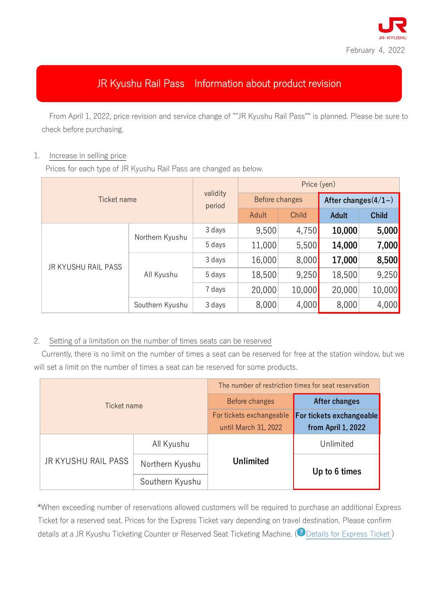

## JR Kyushu Rail Pass Information about product revision

From April 1, 2022, price revision and service change of ""JR Kyushu Rail Pass"" is planned. Please be sure to check before purchasing.

## 1. Increase in selling price

Prices for each type of JR Kyushu Rail Pass are changed as below.

| Ticket name         |                 | validity<br>period | Price (yen)    |        |                       |              |
|---------------------|-----------------|--------------------|----------------|--------|-----------------------|--------------|
|                     |                 |                    | Before changes |        | After changes $(4/1)$ |              |
|                     |                 |                    | Adult          | Child  | <b>Adult</b>          | <b>Child</b> |
| JR KYUSHU RAIL PASS | Northern Kyushu | 3 days             | 9,500          | 4,750  | 10,000                | 5,000        |
|                     |                 | 5 days             | 11,000         | 5,500  | 14,000                | 7,000        |
|                     | All Kyushu      | 3 days             | 16,000         | 8,000  | 17,000                | 8,500        |
|                     |                 | 5 days             | 18,500         | 9,250  | 18,500                | 9,250        |
|                     |                 | 7 days             | 20,000         | 10,000 | 20,000                | 10,000       |
|                     | Southern Kyushu | 3 days             | 8,000          | 4,000  | 8,000                 | 4,000        |

## 2. Setting of a limitation on the number of times seats can be reserved

Currently, there is no limit on the number of times a seat can be reserved for free at the station window, but we will set a limit on the number of times a seat can be reserved for some products.

| Ticket name         |                 | The number of restriction times for seat reservation |                          |  |
|---------------------|-----------------|------------------------------------------------------|--------------------------|--|
|                     |                 | Before changes                                       | After changes            |  |
|                     |                 | For tickets exchangeable                             | For tickets exchangeable |  |
|                     |                 | until March 31, 2022                                 | from April 1, 2022       |  |
| JR KYUSHU RAIL PASS | All Kyushu      |                                                      | Unlimited                |  |
|                     | Northern Kyushu | <b>Unlimited</b>                                     | Up to 6 times            |  |
|                     | Southern Kyushu |                                                      |                          |  |

\*When exceeding number of reservations allowed customers will be required to purchase an additional Express Ticket for a reserved seat. Prices for the Express Ticket vary depending on travel destination. Please confirm details at a JR Kyushu Ticketing Counter or Reserved Seat Ticketing Machine. (<sup>2</sup>Details for Express Ticket)